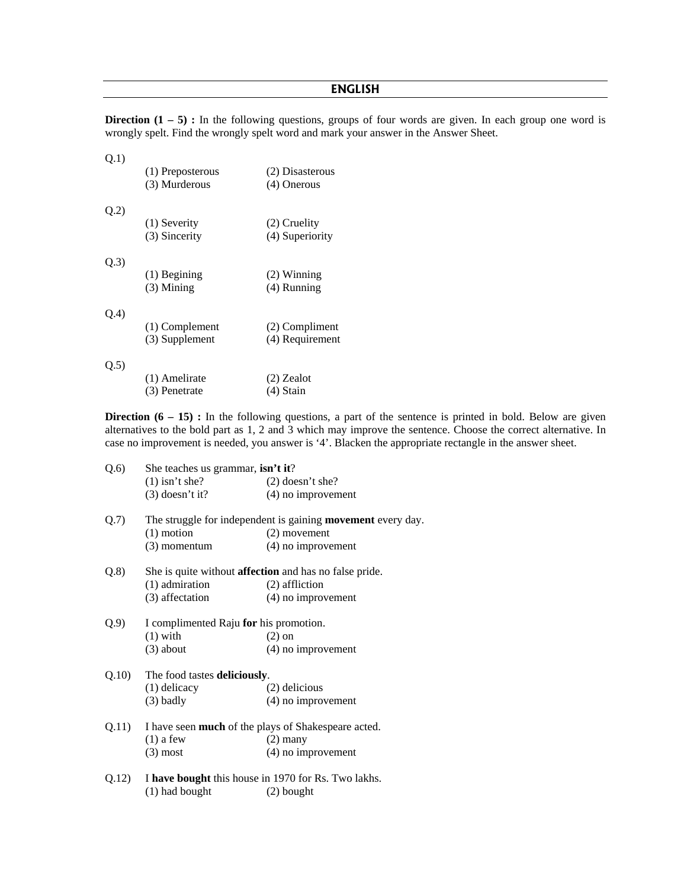## **ENGLISH**

**Direction (1 – 5) :** In the following questions, groups of four words are given. In each group one word is wrongly spelt. Find the wrongly spelt word and mark your answer in the Answer Sheet.

| Q.1) | (1) Preposterous<br>(3) Murderous  | (2) Disasterous<br>$(4)$ Onerous  |
|------|------------------------------------|-----------------------------------|
| Q.2) | $(1)$ Severity<br>(3) Sincerity    | (2) Cruelity<br>(4) Superiority   |
| Q.3) | $(1)$ Begining<br>$(3)$ Mining     | $(2)$ Winning<br>$(4)$ Running    |
| Q.4) | $(1)$ Complement<br>(3) Supplement | (2) Compliment<br>(4) Requirement |
| Q.5) | (1) Amelirate                      | $(2)$ Zealot                      |

 $(3)$  Penetrate  $(4)$  Stain

**Direction (6 – 15) :** In the following questions, a part of the sentence is printed in bold. Below are given alternatives to the bold part as 1, 2 and 3 which may improve the sentence. Choose the correct alternative. In case no improvement is needed, you answer is '4'. Blacken the appropriate rectangle in the answer sheet.

| Q.6)  | She teaches us grammar, isn't it?                                  |                                                               |  |  |  |
|-------|--------------------------------------------------------------------|---------------------------------------------------------------|--|--|--|
|       | $(1)$ isn't she?                                                   | $(2)$ doesn't she?                                            |  |  |  |
|       | $(3)$ doesn't it?                                                  | $(4)$ no improvement                                          |  |  |  |
| Q.7)  | The struggle for independent is gaining <b>movement</b> every day. |                                                               |  |  |  |
|       | $(1)$ motion                                                       | $(2)$ movement                                                |  |  |  |
|       | $(3)$ momentum                                                     | $(4)$ no improvement                                          |  |  |  |
| Q.8)  |                                                                    | She is quite without <b>affection</b> and has no false pride. |  |  |  |
|       | (1) admiration                                                     | (2) affliction                                                |  |  |  |
|       | (3) affectation                                                    | $(4)$ no improvement                                          |  |  |  |
| Q.9)  | I complimented Raju for his promotion.                             |                                                               |  |  |  |
|       | $(1)$ with                                                         | $(2)$ on                                                      |  |  |  |
|       | $(3)$ about                                                        | (4) no improvement                                            |  |  |  |
| Q.10  | The food tastes deliciously.                                       |                                                               |  |  |  |
|       | $(1)$ delicacy                                                     | (2) delicious                                                 |  |  |  |
|       | $(3)$ badly                                                        | $(4)$ no improvement                                          |  |  |  |
| Q.11) | I have seen <b>much</b> of the plays of Shakespeare acted.         |                                                               |  |  |  |
|       | $(1)$ a few                                                        | $(2)$ many                                                    |  |  |  |
|       | $(3)$ most                                                         | $(4)$ no improvement                                          |  |  |  |
| Q.12) | I have bought this house in 1970 for Rs. Two lakhs.                |                                                               |  |  |  |
|       | (1) had bought                                                     | $(2)$ bought                                                  |  |  |  |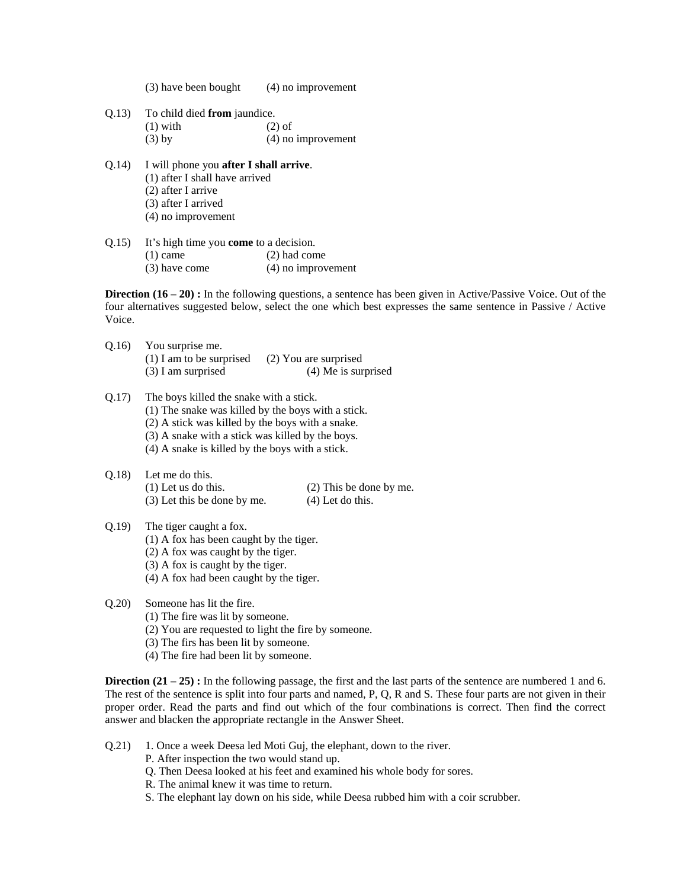| (3) have been bought |  | $(4)$ no improvement |
|----------------------|--|----------------------|
|                      |  |                      |

- Q.13) To child died **from** jaundice.  $(1)$  with  $(2)$  of (3) by (4) no improvement
- Q.14) I will phone you **after I shall arrive**. (1) after I shall have arrived (2) after I arrive (3) after I arrived (4) no improvement
- Q.15) It's high time you **come** to a decision.
	- (1) came (2) had come
	- (3) have come (4) no improvement

**Direction (16 – 20) :** In the following questions, a sentence has been given in Active/Passive Voice. Out of the four alternatives suggested below, select the one which best expresses the same sentence in Passive / Active Voice.

- Q.16) You surprise me. (1) I am to be surprised (2) You are surprised (3) I am surprised (4) Me is surprised
- Q.17) The boys killed the snake with a stick.
	- (1) The snake was killed by the boys with a stick.
	- (2) A stick was killed by the boys with a snake.
	- (3) A snake with a stick was killed by the boys.
	- (4) A snake is killed by the boys with a stick.
- Q.18) Let me do this. (1) Let us do this. (2) This be done by me. (3) Let this be done by me. (4) Let do this.

## Q.19) The tiger caught a fox.

- (1) A fox has been caught by the tiger.
- (2) A fox was caught by the tiger.
- (3) A fox is caught by the tiger.
- (4) A fox had been caught by the tiger.

## Q.20) Someone has lit the fire.

- (1) The fire was lit by someone.
	- (2) You are requested to light the fire by someone.
	- (3) The firs has been lit by someone.
	- (4) The fire had been lit by someone.

**Direction (21 – 25) :** In the following passage, the first and the last parts of the sentence are numbered 1 and 6. The rest of the sentence is split into four parts and named, P, Q, R and S. These four parts are not given in their proper order. Read the parts and find out which of the four combinations is correct. Then find the correct answer and blacken the appropriate rectangle in the Answer Sheet.

- Q.21) 1. Once a week Deesa led Moti Guj, the elephant, down to the river.
	- P. After inspection the two would stand up.
	- Q. Then Deesa looked at his feet and examined his whole body for sores.
	- R. The animal knew it was time to return.
	- S. The elephant lay down on his side, while Deesa rubbed him with a coir scrubber.